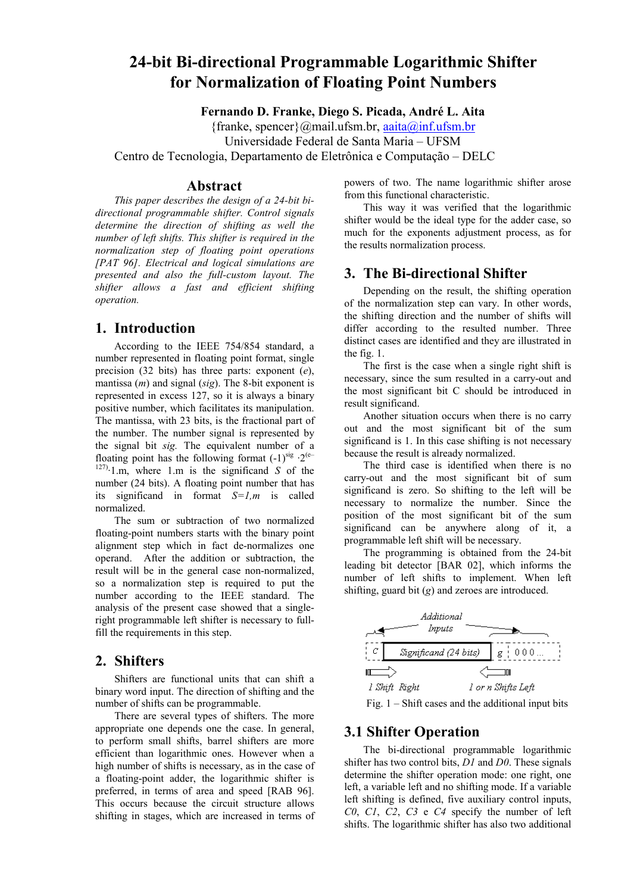# **24-bit Bi-directional Programmable Logarithmic Shifter for Normalization of Floating Point Numbers**

**Fernando D. Franke, Diego S. Picada, André L. Aita** 

 ${franke, spencer}$ @mail.ufsm.br, aaita@inf.ufsm.br

Universidade Federal de Santa Maria – UFSM

Centro de Tecnologia, Departamento de Eletrônica e Computação – DELC

#### **Abstract**

*This paper describes the design of a 24-bit bidirectional programmable shifter. Control signals determine the direction of shifting as well the number of left shifts. This shifter is required in the normalization step of floating point operations [PAT 96]. Electrical and logical simulations are presented and also the full-custom layout. The shifter allows a fast and efficient shifting operation.* 

## **1. Introduction**

According to the IEEE 754/854 standard, a number represented in floating point format, single precision (32 bits) has three parts: exponent (*e*), mantissa (*m*) and signal (*sig*). The 8-bit exponent is represented in excess 127, so it is always a binary positive number, which facilitates its manipulation. The mantissa, with 23 bits, is the fractional part of the number. The number signal is represented by the signal bit *sig.* The equivalent number of a floating point has the following format  $(-1)^{sig} \tcdot 2^{(e-1)}$ 127)·1.m, where 1.m is the significand *S* of the number (24 bits). A floating point number that has its significand in format *S=1,m* is called normalized.

The sum or subtraction of two normalized floating-point numbers starts with the binary point alignment step which in fact de-normalizes one operand. After the addition or subtraction, the result will be in the general case non-normalized, so a normalization step is required to put the number according to the IEEE standard. The analysis of the present case showed that a singleright programmable left shifter is necessary to fullfill the requirements in this step.

#### **2. Shifters**

Shifters are functional units that can shift a binary word input. The direction of shifting and the number of shifts can be programmable.

There are several types of shifters. The more appropriate one depends one the case. In general, to perform small shifts, barrel shifters are more efficient than logarithmic ones. However when a high number of shifts is necessary, as in the case of a floating-point adder, the logarithmic shifter is preferred, in terms of area and speed [RAB 96]. This occurs because the circuit structure allows shifting in stages, which are increased in terms of powers of two. The name logarithmic shifter arose from this functional characteristic.

This way it was verified that the logarithmic shifter would be the ideal type for the adder case, so much for the exponents adjustment process, as for the results normalization process.

# **3. The Bi-directional Shifter**

Depending on the result, the shifting operation of the normalization step can vary. In other words, the shifting direction and the number of shifts will differ according to the resulted number. Three distinct cases are identified and they are illustrated in the fig. 1.

The first is the case when a single right shift is necessary, since the sum resulted in a carry-out and the most significant bit C should be introduced in result significand.

Another situation occurs when there is no carry out and the most significant bit of the sum significand is 1. In this case shifting is not necessary because the result is already normalized.

The third case is identified when there is no carry-out and the most significant bit of sum significand is zero. So shifting to the left will be necessary to normalize the number. Since the position of the most significant bit of the sum significand can be anywhere along of it, a programmable left shift will be necessary.

The programming is obtained from the 24-bit leading bit detector [BAR 02], which informs the number of left shifts to implement. When left shifting, guard bit (*g*) and zeroes are introduced.



Fig.  $1 - Shift \; cases$  and the additional input bits

## **3.1 Shifter Operation**

The bi-directional programmable logarithmic shifter has two control bits, *D1* and *D0*. These signals determine the shifter operation mode: one right, one left, a variable left and no shifting mode. If a variable left shifting is defined, five auxiliary control inputs, *C0*, *C1*, *C2*, *C3* e *C4* specify the number of left shifts. The logarithmic shifter has also two additional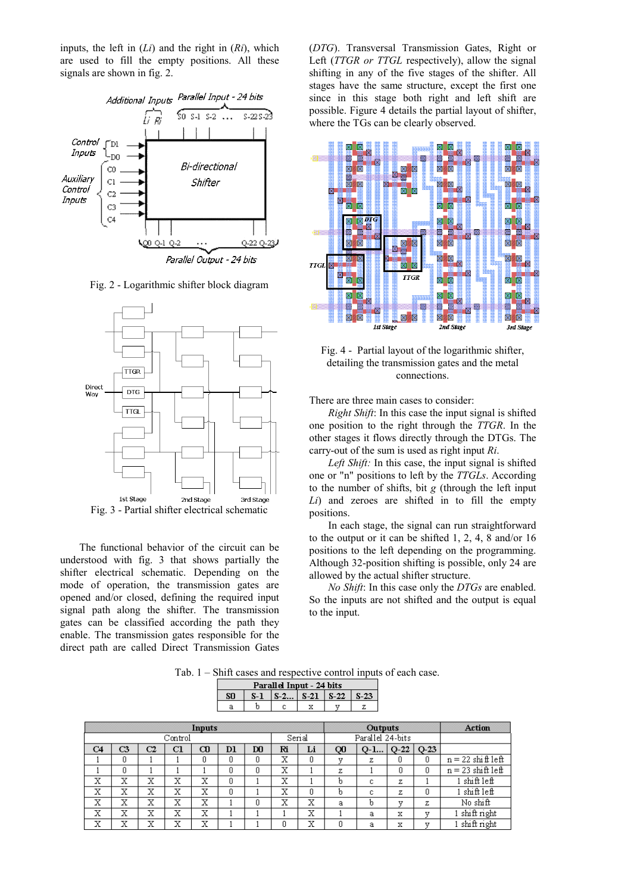inputs, the left in (*Li*) and the right in (*Ri*), which are used to fill the empty positions. All these signals are shown in fig. 2.



Fig. 2 - Logarithmic shifter block diagram



Fig. 3 - Partial shifter electrical schematic

The functional behavior of the circuit can be understood with fig. 3 that shows partially the shifter electrical schematic. Depending on the mode of operation, the transmission gates are opened and/or closed, defining the required input signal path along the shifter. The transmission gates can be classified according the path they enable. The transmission gates responsible for the direct path are called Direct Transmission Gates (*DTG*). Transversal Transmission Gates, Right or Left (*TTGR or TTGL* respectively), allow the signal shifting in any of the five stages of the shifter. All stages have the same structure, except the first one since in this stage both right and left shift are possible. Figure 4 details the partial layout of shifter, where the TGs can be clearly observed.



Fig. 4 - Partial layout of the logarithmic shifter, detailing the transmission gates and the metal connections.

There are three main cases to consider:

*Right Shift*: In this case the input signal is shifted one position to the right through the *TTGR*. In the other stages it flows directly through the DTGs. The carry-out of the sum is used as right input *Ri*.

*Left Shift:* In this case, the input signal is shifted one or "n" positions to left by the *TTGLs*. According to the number of shifts, bit *g* (through the left input *Li*) and zeroes are shifted in to fill the empty positions.

In each stage, the signal can run straightforward to the output or it can be shifted 1, 2, 4, 8 and/or 16 positions to the left depending on the programming. Although 32-position shifting is possible, only 24 are allowed by the actual shifter structure.

*No Shift*: In this case only the *DTGs* are enabled. So the inputs are not shifted and the output is equal to the input.

Tab. 1 – Shift cases and respective control inputs of each case.

 $R_{\text{total}}$   $R_{\text{total}}$   $R_{\text{total}}$ 

|         |    |    |    |             |     | гаана три - 24 онз |        |        |                |                  |                |        |                          |
|---------|----|----|----|-------------|-----|--------------------|--------|--------|----------------|------------------|----------------|--------|--------------------------|
|         |    |    |    |             | SO. | $S-1$              | $S-2$  | $S-21$ | $S-22$         | $S-23$           |                |        |                          |
|         |    |    |    |             | а   | b                  | с      | x      | v              | z                |                |        |                          |
|         |    |    |    |             |     |                    |        |        |                |                  |                |        |                          |
| Inputs  |    |    |    |             |     |                    |        |        | <b>Outputs</b> |                  |                |        | <b>Action</b>            |
| Control |    |    |    |             |     |                    | Serial |        |                | Parallel 24-bits |                |        |                          |
| C4      | C3 | C2 | C1 | $_{\alpha}$ | Þl  | D <sub>0</sub>     | Ri     | Li     | Q0             |                  | $Q-1   Q-22  $ | $O-23$ |                          |
|         | O  |    |    | 0           | 0   | ۵                  | х      | O      | v              | z                | ۵              | 0      | $n = 22 \sin \theta$ lef |
|         | n  |    |    |             | ۵   | n                  | X      |        | z              |                  | n              | 0      | $n = 23$ shift left      |
| х       | х  | х  | х  | х           | 0   |                    | X      |        | b              | с                | z              |        | 1 shift left             |
| х       | X  | X  | X  | X           | 0   |                    | X      | n      | b              | c                | z              | 0      | 1 shift left             |
| х       | x  | x  | X  | X           |     | n                  | х      | x      | a              | b                | v              | z      | No shift                 |
| х       | X  | X  | X  | X           |     |                    |        | X      |                | a                | x              | у      | 1 shift right            |
| x       | x  | x  | x  | x           |     |                    | 0      | х      | ۵              | a                | x              | v      | $1 \sin\theta$ right     |